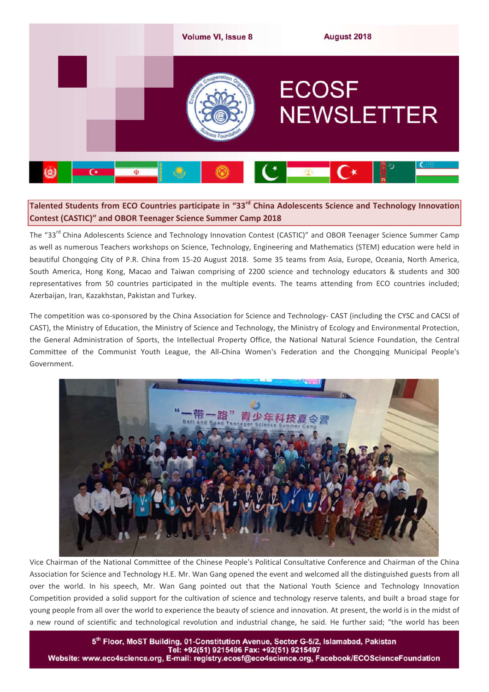

# **Talented Students from ECO Countries participate in "33rd China Adolescents Science and Technology Innovation Contest (CASTIC)" and OBOR Teenager Science Summer Camp 2018**

The "33<sup>rd</sup> China Adolescents Science and Technology Innovation Contest (CASTIC)" and OBOR Teenager Science Summer Camp as well as numerous Teachers workshops on Science, Technology, Engineering and Mathematics (STEM) education were held in beautiful Chongqing City of P.R. China from 15-20 August 2018. Some 35 teams from Asia, Europe, Oceania, North America, South America, Hong Kong, Macao and Taiwan comprising of 2200 science and technology educators & students and 300 representatives from 50 countries participated in the multiple events. The teams attending from ECO countries included; Azerbaijan, Iran, Kazakhstan, Pakistan and Turkey.

The competition was co-sponsored by the China Association for Science and Technology- CAST (including the CYSC and CACSI of CAST), the Ministry of Education, the Ministry of Science and Technology, the Ministry of Ecology and Environmental Protection, the General Administration of Sports, the Intellectual Property Office, the National Natural Science Foundation, the Central Committee of the Communist Youth League, the All-China Women's Federation and the Chongqing Municipal People's Government.



Vice Chairman of the National Committee of the Chinese People's Political Consultative Conference and Chairman of the China Association for Science and Technology H.E. Mr. Wan Gang opened the event and welcomed all the distinguished guests from all over the world. In his speech, Mr. Wan Gang pointed out that the National Youth Science and Technology Innovation Competition provided a solid support for the cultivation of science and technology reserve talents, and built a broad stage for young people from all over the world to experience the beauty of science and innovation. At present, the world is in the midst of a new round of scientific and technological revolution and industrial change, he said. He further said; "the world has been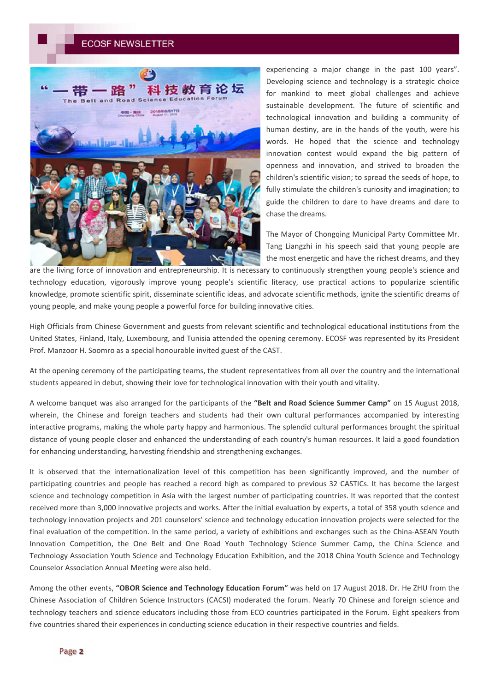

experiencing a major change in the past 100 years". Developing science and technology is a strategic choice for mankind to meet global challenges and achieve sustainable development. The future of scientific and technological innovation and building a community of human destiny, are in the hands of the youth, were his words. He hoped that the science and technology innovation contest would expand the big pattern of openness and innovation, and strived to broaden the children's scientific vision; to spread the seeds of hope, to fully stimulate the children's curiosity and imagination; to guide the children to dare to have dreams and dare to chase the dreams.

The Mayor of Chongqing Municipal Party Committee Mr. Tang Liangzhi in his speech said that young people are the most energetic and have the richest dreams, and they

are the living force of innovation and entrepreneurship. It is necessary to continuously strengthen young people's science and technology education, vigorously improve young people's scientific literacy, use practical actions to popularize scientific knowledge, promote scientific spirit, disseminate scientific ideas, and advocate scientific methods, ignite the scientific dreams of young people, and make young people a powerful force for building innovative cities.

High Officials from Chinese Government and guests from relevant scientific and technological educational institutions from the United States, Finland, Italy, Luxembourg, and Tunisia attended the opening ceremony. ECOSF was represented by its President Prof. Manzoor H. Soomro as a special honourable invited guest of the CAST.

At the opening ceremony of the participating teams, the student representatives from all over the country and the international students appeared in debut, showing their love for technological innovation with their youth and vitality.

A welcome banquet was also arranged for the participants of the **"Belt and Road Science Summer Camp"** on 15 August 2018, wherein, the Chinese and foreign teachers and students had their own cultural performances accompanied by interesting interactive programs, making the whole party happy and harmonious. The splendid cultural performances brought the spiritual distance of young people closer and enhanced the understanding of each country's human resources. It laid a good foundation for enhancing understanding, harvesting friendship and strengthening exchanges.

It is observed that the internationalization level of this competition has been significantly improved, and the number of participating countries and people has reached a record high as compared to previous 32 CASTICs. It has become the largest science and technology competition in Asia with the largest number of participating countries. It was reported that the contest received more than 3,000 innovative projects and works. After the initial evaluation by experts, a total of 358 youth science and technology innovation projects and 201 counselors' science and technology education innovation projects were selected for the final evaluation of the competition. In the same period, a variety of exhibitions and exchanges such as the China-ASEAN Youth Innovation Competition, the One Belt and One Road Youth Technology Science Summer Camp, the China Science and Technology Association Youth Science and Technology Education Exhibition, and the 2018 China Youth Science and Technology Counselor Association Annual Meeting were also held.

Among the other events, **"OBOR Science and Technology Education Forum"** was held on 17 August 2018. Dr. He ZHU from the Chinese Association of Children Science Instructors (CACSI) moderated the forum. Nearly 70 Chinese and foreign science and technology teachers and science educators including those from ECO countries participated in the Forum. Eight speakers from five countries shared their experiences in conducting science education in their respective countries and fields.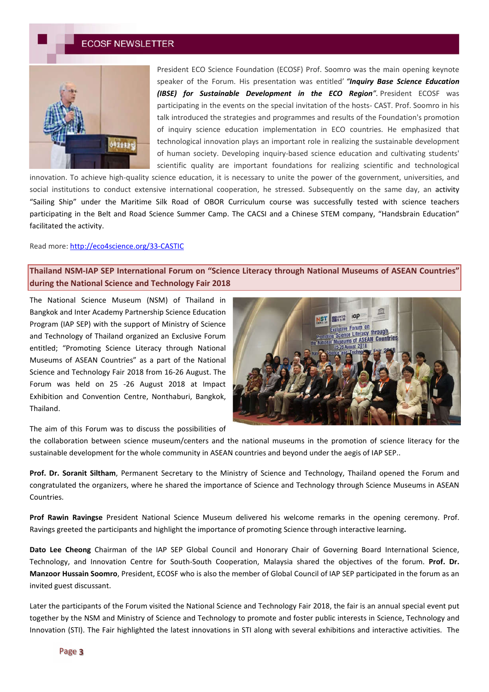

President ECO Science Foundation (ECOSF) Prof. Soomro was the main opening keynote speaker of the Forum. His presentation was entitled' *"Inquiry Base Science Education (IBSE) for Sustainable Development in the ECO Region".* President ECOSF was participating in the events on the special invitation of the hosts- CAST. Prof. Soomro in his talk introduced the strategies and programmes and results of the Foundation's promotion of inquiry science education implementation in ECO countries. He emphasized that technological innovation plays an important role in realizing the sustainable development of human society. Developing inquiry-based science education and cultivating students' scientific quality are important foundations for realizing scientific and technological

innovation. To achieve high-quality science education, it is necessary to unite the power of the government, universities, and social institutions to conduct extensive international cooperation, he stressed. Subsequently on the same day, an activity "Sailing Ship" under the Maritime Silk Road of OBOR Curriculum course was successfully tested with science teachers participating in the Belt and Road Science Summer Camp. The CACSI and a Chinese STEM company, "Handsbrain Education" facilitated the activity.

### Read more: http://eco4science.org/33-CASTIC

**Thailand NSM-IAP SEP International Forum on "Science Literacy through National Museums of ASEAN Countries" during the National Science and Technology Fair 2018**

The National Science Museum (NSM) of Thailand in Bangkok and Inter Academy Partnership Science Education Program (IAP SEP) with the support of Ministry of Science and Technology of Thailand organized an Exclusive Forum entitled; "Promoting Science Literacy through National Museums of ASEAN Countries" as a part of the National Science and Technology Fair 2018 from 16-26 August. The Forum was held on 25 -26 August 2018 at Impact Exhibition and Convention Centre, Nonthaburi, Bangkok, Thailand.



The aim of this Forum was to discuss the possibilities of

the collaboration between science museum/centers and the national museums in the promotion of science literacy for the sustainable development for the whole community in ASEAN countries and beyond under the aegis of IAP SEP..

**Prof. Dr. Soranit Siltham**, Permanent Secretary to the Ministry of Science and Technology, Thailand opened the Forum and congratulated the organizers, where he shared the importance of Science and Technology through Science Museums in ASEAN Countries.

**Prof Rawin Ravingse** President National Science Museum delivered his welcome remarks in the opening ceremony. Prof. Ravings greeted the participants and highlight the importance of promoting Science through interactive learning**.** 

**Dato Lee Cheong** Chairman of the IAP SEP Global Council and Honorary Chair of Governing Board International Science, Technology, and Innovation Centre for South-South Cooperation, Malaysia shared the objectives of the forum. **Prof. Dr. Manzoor Hussain Soomro**, President, ECOSF who is also the member of Global Council of IAP SEP participated in the forum as an invited guest discussant.

Later the participants of the Forum visited the National Science and Technology Fair 2018, the fair is an annual special event put together by the NSM and Ministry of Science and Technology to promote and foster public interests in Science, Technology and Innovation (STI). The Fair highlighted the latest innovations in STI along with several exhibitions and interactive activities. The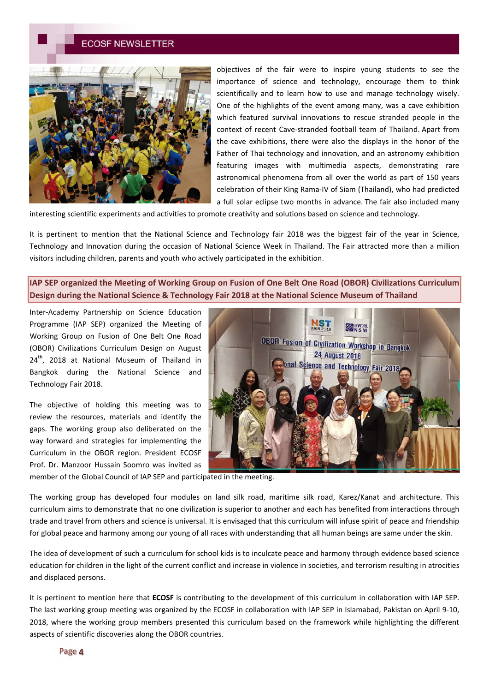

objectives of the fair were to inspire young students to see the importance of science and technology, encourage them to think scientifically and to learn how to use and manage technology wisely. One of the highlights of the event among many, was a cave exhibition which featured survival innovations to rescue stranded people in the context of recent Cave-stranded football team of Thailand. Apart from the cave exhibitions, there were also the displays in the honor of the Father of Thai technology and innovation, and an astronomy exhibition featuring images with multimedia aspects, demonstrating rare astronomical phenomena from all over the world as part of 150 years celebration of their King Rama-IV of Siam (Thailand), who had predicted a full solar eclipse two months in advance. The fair also included many

interesting scientific experiments and activities to promote creativity and solutions based on science and technology.

It is pertinent to mention that the National Science and Technology fair 2018 was the biggest fair of the year in Science, Technology and Innovation during the occasion of National Science Week in Thailand. The Fair attracted more than a million visitors including children, parents and youth who actively participated in the exhibition.

**IAP SEP organized the Meeting of Working Group on Fusion of One Belt One Road (OBOR) Civilizations Curriculum Design during the National Science & Technology Fair 2018 at the National Science Museum of Thailand**

Inter-Academy Partnership on Science Education Programme (IAP SEP) organized the Meeting of Working Group on Fusion of One Belt One Road (OBOR) Civilizations Curriculum Design on August  $24<sup>th</sup>$ , 2018 at National Museum of Thailand in Bangkok during the National Science and Technology Fair 2018.

The objective of holding this meeting was to review the resources, materials and identify the gaps. The working group also deliberated on the way forward and strategies for implementing the Curriculum in the OBOR region. President ECOSF Prof. Dr. Manzoor Hussain Soomro was invited as



member of the Global Council of IAP SEP and participated in the meeting.

The working group has developed four modules on land silk road, maritime silk road, Karez/Kanat and architecture. This curriculum aims to demonstrate that no one civilization is superior to another and each has benefited from interactions through trade and travel from others and science is universal. It is envisaged that this curriculum will infuse spirit of peace and friendship for global peace and harmony among our young of all races with understanding that all human beings are same under the skin.

The idea of development of such a curriculum for school kids is to inculcate peace and harmony through evidence based science education for children in the light of the current conflict and increase in violence in societies, and terrorism resulting in atrocities and displaced persons.

It is pertinent to mention here that **ECOSF** is contributing to the development of this curriculum in collaboration with IAP SEP. The last working group meeting was organized by the ECOSF in collaboration with IAP SEP in Islamabad, Pakistan on April 9-10, 2018, where the working group members presented this curriculum based on the framework while highlighting the different aspects of scientific discoveries along the OBOR countries.

Page 4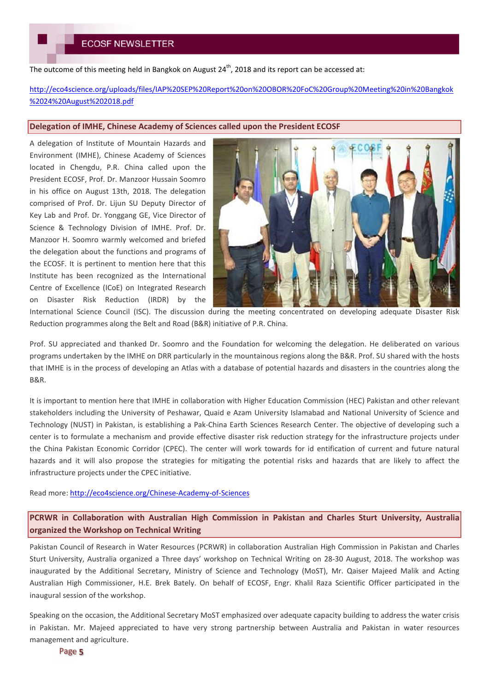The outcome of this meeting held in Bangkok on August  $24<sup>th</sup>$ , 2018 and its report can be accessed at:

http://eco4science.org/uploads/files/IAP%20SEP%20Report%20on%20OBOR%20FoC%20Group%20Meeting%20in%20Bangkok %2024%20August%202018.pdf

#### **Delegation of IMHE, Chinese Academy of Sciences called upon the President ECOSF**

A delegation of Institute of Mountain Hazards and Environment (IMHE), Chinese Academy of Sciences located in Chengdu, P.R. China called upon the President ECOSF, Prof. Dr. Manzoor Hussain Soomro in his office on August 13th, 2018. The delegation comprised of Prof. Dr. Lijun SU Deputy Director of Key Lab and Prof. Dr. Yonggang GE, Vice Director of Science & Technology Division of IMHE. Prof. Dr. Manzoor H. Soomro warmly welcomed and briefed the delegation about the functions and programs of the ECOSF. It is pertinent to mention here that this Institute has been recognized as the International Centre of Excellence (ICoE) on Integrated Research on Disaster Risk Reduction (IRDR) by the



International Science Council (ISC). The discussion during the meeting concentrated on developing adequate Disaster Risk Reduction programmes along the Belt and Road (B&R) initiative of P.R. China.

Prof. SU appreciated and thanked Dr. Soomro and the Foundation for welcoming the delegation. He deliberated on various programs undertaken by the IMHE on DRR particularly in the mountainous regions along the B&R. Prof. SU shared with the hosts that IMHE is in the process of developing an Atlas with a database of potential hazards and disasters in the countries along the B&R.

It is important to mention here that IMHE in collaboration with Higher Education Commission (HEC) Pakistan and other relevant stakeholders including the University of Peshawar, Quaid e Azam University Islamabad and National University of Science and Technology (NUST) in Pakistan, is establishing a Pak-China Earth Sciences Research Center. The objective of developing such a center is to formulate a mechanism and provide effective disaster risk reduction strategy for the infrastructure projects under the China Pakistan Economic Corridor (CPEC). The center will work towards for id entification of current and future natural hazards and it will also propose the strategies for mitigating the potential risks and hazards that are likely to affect the infrastructure projects under the CPEC initiative.

Read more: http://eco4science.org/Chinese-Academy-of-Sciences

**PCRWR in Collaboration with Australian High Commission in Pakistan and Charles Sturt University, Australia organized the Workshop on Technical Writing**

Pakistan Council of Research in Water Resources (PCRWR) in collaboration Australian High Commission in Pakistan and Charles Sturt University, Australia organized a Three days' workshop on Technical Writing on 28-30 August, 2018. The workshop was inaugurated by the Additional Secretary, Ministry of Science and Technology (MoST), Mr. Qaiser Majeed Malik and Acting Australian High Commissioner, H.E. Brek Bately. On behalf of ECOSF, Engr. Khalil Raza Scientific Officer participated in the inaugural session of the workshop.

Speaking on the occasion, the Additional Secretary MoST emphasized over adequate capacity building to address the water crisis in Pakistan. Mr. Majeed appreciated to have very strong partnership between Australia and Pakistan in water resources management and agriculture.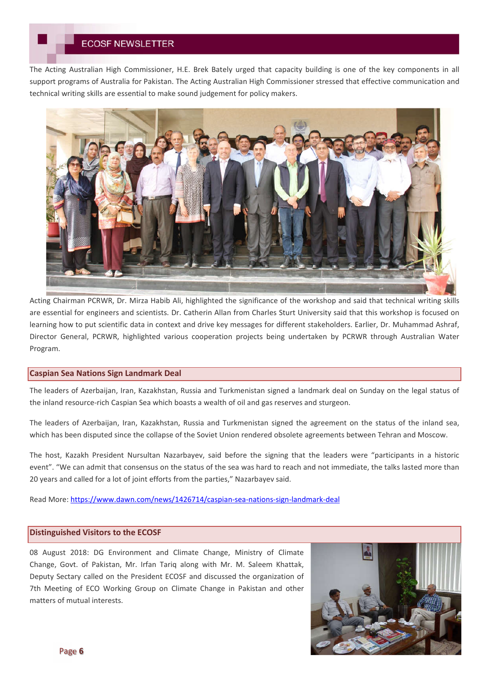The Acting Australian High Commissioner, H.E. Brek Bately urged that capacity building is one of the key components in all support programs of Australia for Pakistan. The Acting Australian High Commissioner stressed that effective communication and technical writing skills are essential to make sound judgement for policy makers.



Acting Chairman PCRWR, Dr. Mirza Habib Ali, highlighted the significance of the workshop and said that technical writing skills are essential for engineers and scientists. Dr. Catherin Allan from Charles Sturt University said that this workshop is focused on learning how to put scientific data in context and drive key messages for different stakeholders. Earlier, Dr. Muhammad Ashraf, Director General, PCRWR, highlighted various cooperation projects being undertaken by PCRWR through Australian Water Program.

### **Caspian Sea Nations Sign Landmark Deal**

The leaders of Azerbaijan, Iran, Kazakhstan, Russia and Turkmenistan signed a landmark deal on Sunday on the legal status of the inland resource-rich Caspian Sea which boasts a wealth of oil and gas reserves and sturgeon.

The leaders of Azerbaijan, Iran, Kazakhstan, Russia and Turkmenistan signed the agreement on the status of the inland sea, which has been disputed since the collapse of the Soviet Union rendered obsolete agreements between Tehran and Moscow.

The host, Kazakh President Nursultan Nazarbayev, said before the signing that the leaders were "participants in a historic event". "We can admit that consensus on the status of the sea was hard to reach and not immediate, the talks lasted more than 20 years and called for a lot of joint efforts from the parties," Nazarbayev said.

Read More: https://www.dawn.com/news/1426714/caspian-sea-nations-sign-landmark-deal

### **Distinguished Visitors to the ECOSF**

08 August 2018: DG Environment and Climate Change, Ministry of Climate Change, Govt. of Pakistan, Mr. Irfan Tariq along with Mr. M. Saleem Khattak, Deputy Sectary called on the President ECOSF and discussed the organization of 7th Meeting of ECO Working Group on Climate Change in Pakistan and other matters of mutual interests.

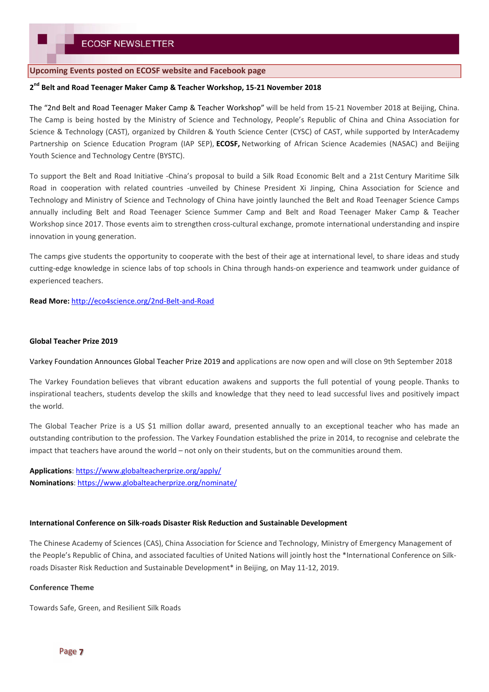### **Upcoming Events posted on ECOSF website and Facebook page**

## **2 nd Belt and Road Teenager Maker Camp & Teacher Workshop, 15-21 November 2018**

The "2nd Belt and Road Teenager Maker Camp & Teacher Workshop" will be held from 15-21 November 2018 at Beijing, China. The Camp is being hosted by the Ministry of Science and Technology, People's Republic of China and China Association for Science & Technology (CAST), organized by Children & Youth Science Center (CYSC) of CAST, while supported by InterAcademy Partnership on Science Education Program (IAP SEP), **ECOSF,** Networking of African Science Academies (NASAC) and Beijing Youth Science and Technology Centre (BYSTC).

To support the Belt and Road Initiative -China's proposal to build a Silk Road Economic Belt and a 21st Century Maritime Silk Road in cooperation with related countries -unveiled by Chinese President Xi Jinping, China Association for Science and Technology and Ministry of Science and Technology of China have jointly launched the Belt and Road Teenager Science Camps annually including Belt and Road Teenager Science Summer Camp and Belt and Road Teenager Maker Camp & Teacher Workshop since 2017. Those events aim to strengthen cross-cultural exchange, promote international understanding and inspire innovation in young generation.

The camps give students the opportunity to cooperate with the best of their age at international level, to share ideas and study cutting-edge knowledge in science labs of top schools in China through hands-on experience and teamwork under guidance of experienced teachers.

**Read More:** http://eco4science.org/2nd-Belt-and-Road

### **Global Teacher Prize 2019**

Varkey Foundation Announces Global Teacher Prize 2019 and applications are now open and will close on 9th September 2018

The Varkey Foundation believes that vibrant education awakens and supports the full potential of young people. Thanks to inspirational teachers, students develop the skills and knowledge that they need to lead successful lives and positively impact the world.

The Global Teacher Prize is a US \$1 million dollar award, presented annually to an exceptional teacher who has made an outstanding contribution to the profession. The Varkey Foundation established the prize in 2014, to recognise and celebrate the impact that teachers have around the world – not only on their students, but on the communities around them.

**Applications**: https://www.globalteacherprize.org/apply/ **Nominations**: https://www.globalteacherprize.org/nominate/

#### **International Conference on Silk-roads Disaster Risk Reduction and Sustainable Development**

The Chinese Academy of Sciences (CAS), China Association for Science and Technology, Ministry of Emergency Management of the People's Republic of China, and associated faculties of United Nations will jointly host the \*International Conference on Silkroads Disaster Risk Reduction and Sustainable Development\* in Beijing, on May 11-12, 2019.

#### **Conference Theme**

Towards Safe, Green, and Resilient Silk Roads